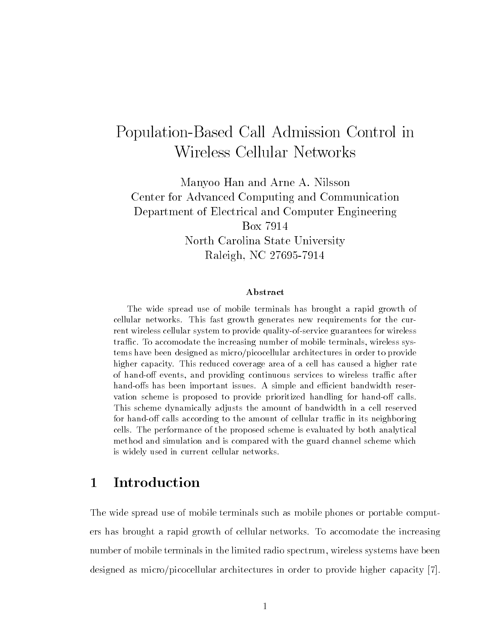# Population-Based Call Admission Control in Wireless Cellular Networks

Manyoo Han and Arne A. Nilsson Center for Advanced Computing and Communication Department of Electrical and Computer Engineering North Carolina State University raleigh NC - and a set of the set of the set of the set of the set of the set of the set of the set of the set

### Abstract

The wide spread use of mobile terminals has brought a rapid growth of cellular networks This fast growth generates new requirements for the cur rent wireless cellular system to provide quality-of-service guarantees for wireless  $\mathbf{f}_1$ tems have been designed as micro/picocellular architectures in order to provide higher capacity. This reduced coverage area of a cell has caused a higher rate of hando events and providing continuous services to wireless tra-c after handos has been important issues A simple and e-cient bandwidth reser vation scheme is proposed to provide prioritized handling for hand-off calls. This scheme dynamically adjusts the amount of bandwidth in a cell reserved for the amount of calls according to the amount of cellular tra- $\mathbf{r}$ cells The performance of the proposed scheme is evaluated by both analytical method and simulation and is compared with the guard channel scheme which is widely used in current cellular networks

#### $\mathbf{1}$ Introduction

The wide spread use of mobile terminals such as mobile phones or portable comput ers has brought a rapid growth of cellular networks To accomodate the increasing number of mobile terminals in the limited radio spectrum- wireless systems have been designed as micro/picocellular architectures in order to provide higher capacity  $[7]$ .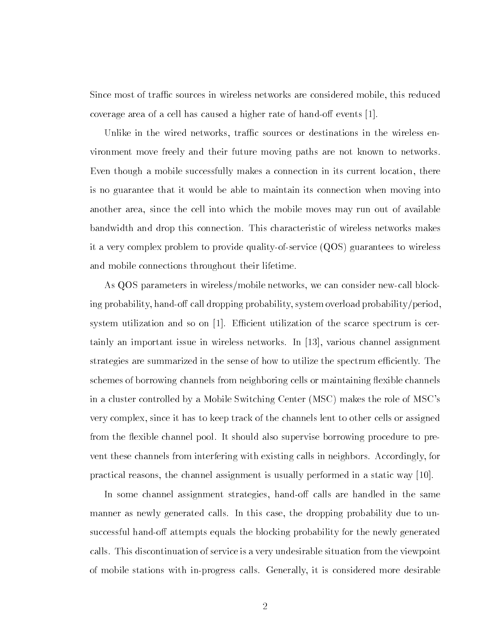Since most of trac sources in wireless networks are considered mobile- this reduced coverage area of a cell has caused a higher rate of hand-off events  $[1]$ .

United in the wireless or destinations in the wireless or destinations in the wireless or destinations or the vironment move freely and their future moving paths are not known to networks  $\mathbf{f}$ is no guarantee that it would be able to maintain its connection when moving into another area-the cell into which the mobile mobile mobile model into which the mobile moves may run out of ava bandwidth and drop this connection This characteristic of wireless networks makes it a very complex problem to provide qualityofservice QOS guarantees to wireless and mobile connections throughout their lifetime

as qos parameters in wirelessmobile networks- in wirelessmobile networks- in wirelessmobile news and ing probability-mandor and call dropping probability probability probabilityperiodsystem utilization and so on  $[1]$ . Efficient utilization of the scarce spectrum is certainly an important issue in wireless networks In - various channel assignment strategies are summarized in the sense of how to utilize the spectrum efficiently. The schemes of borrowing channels from neighboring cells or maintaining flexible channels in a cluster controlled by a Mobile Switching  $\mathcal{M}$ . since it has to keep the complete it to complete the complete the complete the complete the complete the complete  $\mathcal{S}$ from the flexible channel pool. It should also supervise borrowing procedure to pre- $\alpha$  is the channels from interfering with  $\alpha$  in the calls in  $\alpha$  in  $\alpha$  and  $\alpha$  in  $\alpha$ practical reasons-the channel is usually performed in a static way to static way the property  $\mathbf{r}$ 

In some channel assignment strategies- hando calls are handled in the same manner as newly generated calls In this case- the dropping probability due to un successful hand-off attempts equals the blocking probability for the newly generated calls This discontinuation of service is a very undesirable situation from the viewpoint of mobile stations with inproper  $\mathbf{H}$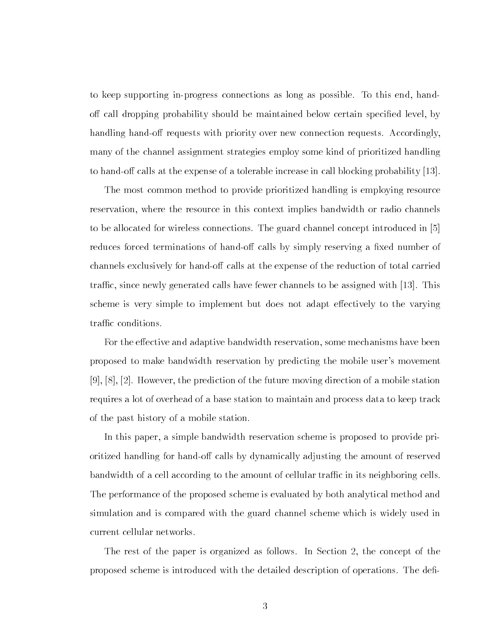to keep supporting inprogress connections as long as possible To this end- hand our called below probability shows the maintained below certain species of contract the contract of the species handling hand-off requests with priority over new connection requests. Accordingly, many of the channel assignment strategies employ some kind of prioritized handling to hand-off calls at the expense of a tolerable increase in call blocking probability  $|13|$ .

The most common method to provide prioritized handling is employing resource reservation-the resource in this context in this context in this context in this context implies bandwidth or r to be allocated for wireless connections. The guard channel concept introduced in [5] reduces forced terminations of hand-off calls by simply reserving a fixed number of channels exclusively for hand-off calls at the expense of the reduction of total carried tracted calls have the since  $\alpha$  calls have fewer constructions to be assigned with  $\alpha$  in  $\alpha$  ,  $\alpha$ scheme is very simple to implement but does not adapt effectively to the varying traffic conditions.

For the e ective and adaptive bandwidth reservation- some mechanisms have been proposed to make bandwidth reservation by predicting the mobile user's movement - - However- the prediction of the future moving direction of a mobile station requires a lot of overhead of a base station to maintain and process data to keep track of the past history of a mobile station

In this paper- a simple bandwidth reservation scheme is proposed to provide pri oritized handling for hand-off calls by dynamically adjusting the amount of reserved bandwidth of a cell according to the amount of cellular traffic in its neighboring cells. The performance of the proposed scheme is evaluated by both analytical method and simulation and is compared with the guard channel scheme which is widely used in current cellular networks

The rest of the paper is organized as follows In Section - the concept of the proposed scheme is introduced with the detailed description of operations The de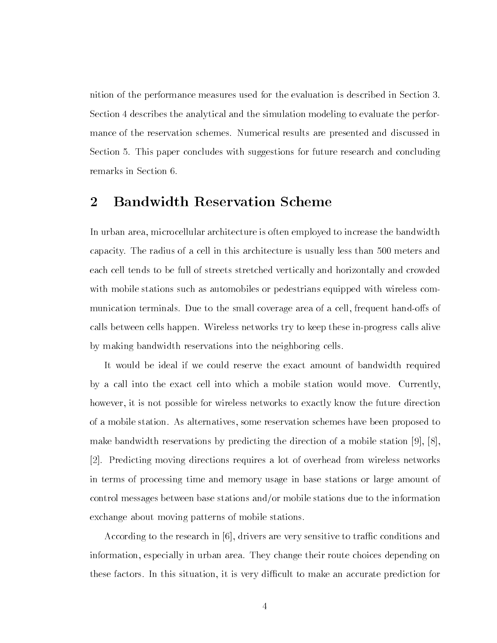nition of the performance measures used for the evaluation is described in Section  Section 4 describes the analytical and the simulation modeling to evaluate the performance of the reservation schemes. Numerical results are presented and discussed in Section 5. This paper concludes with suggestions for future research and concluding remarks in Section

#### $\overline{2}$ **Bandwidth Reservation Scheme**

In urban area- microcellular architecture is often employed to increase the bandwidth capacity. The radius of a cell in this architecture is usually less than 500 meters and each cell tends to be full of streets stretched vertically and horizontally and crowded with mobile stations such as automobiles or pedestrians equipped with wireless com munication terminals  $\mathcal{L}$ calls between cells happen. Wireless networks try to keep these in-progress calls alive by making bandwidth reservations into the neighboring cells

It would be ideal if we could reserve the exact amount of bandwidth required by a call into the exact cell into which a mobile station would move Currentlyhowever- it is not possible for wireless networks to exactly know the future direction of a mobile station as alternatives as alternatives-to-complete the some proposed to the station schemes have make bandwidth reservations by predictions by predictions by prediction of a mobile station  $\mu$  mobile station  $\mu$  Predicting moving directions requires a lot of overhead from wireless networks in terms of processing time and memory usage in base stations or large amount of control messages between base stations and/or mobile stations due to the information exchange about moving patterns of mobile stations

According to the research in - drivers are very sensitive to trac conditions and information- the string in model in the choices are the choices the choices depending one of these factors In this situation-dicult to make an accurate prediction-dicult to make an accurate prediction for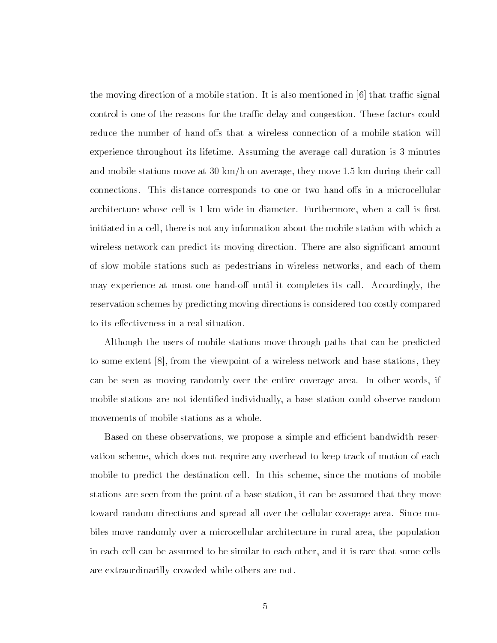the moving direction of a mobile station. It is also mentioned in  $\lceil 6 \rceil$  that traffic signal control is one of the reasons for the traffic delay and congestion. These factors could reduce the number of hand-offs that a wireless connection of a mobile station will experience throughout its lifetime. Assuming the average call duration is 3 minutes and mobile stations move at  $\mathcal{W}$  and average-during theorem average-during the  $\mathcal{W}$ connections. This distance corresponds to one or two hand-offs in a microcellular architecture whose cell is in diameter  $\mathbb{R}^n$  is the induction of the induction  $\mathbb{R}^n$ initiated in a cell- there is not any information about the mobile station with which a wireless network can predict its moving direction. There are also significant amount of static mobile stations such as pedestrians in without motivating networks-such and such and the may experience at most one most one handous it completes its call accordingly-there reservation schemes by predicting moving directions is considered too costly compared to its effectiveness in a real situation.

Although the users of mobile stations move through paths that can be predicted to some extent - from the viewpoint of a wireless network and base stations- they can be seen as moving randomly over the entire coverage area In other words- if mobile stations are not identied individually- a base station could observe random movements of mobile stations as a whole

e propose a simple a simple and economic bandwidth reservations and existing and economic bandwidth reservatio vation scheme- which does not require any overhead to keep track of motion of the second mobile to predict the destination cell In this scheme- this scheme that the motions of mobile stations are seen from the point of a base station- it can be assumed that they move toward random directions and spread all over the cellular coverage area. Since mobiles move randomly over a microcellular architecture in rural area- the population in this time that it is rare that the structure to this times that to be some that some cells are extraordinarilly crowded while others are not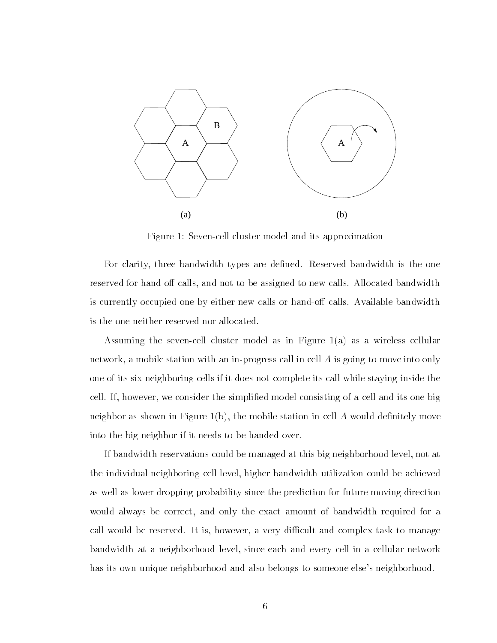

Figure 1: Seven-cell cluster model and its approximation

For clarity- three bandwidth types are dened Reserved bandwidth is the one reserved for handout to be assigned to be assigned to be assigned to be assigned to new calls Allocated bandwidth is currently occupied one by either new calls or hand-off calls. Available bandwidth is the one neither reserved nor allocated

Assuming the sevencell cluster model as in Figure a as a wireless cellular network- a mobile station with an inprogress call in cell A is going to move into only one of its six neighboring cells if it does not complete its call while staying inside the cell if the consider the simplified model consisting and its one big and its one big and its one big and its o  $\mathbf{f}$ into the big neighbor if it needs to be handed over

If  $\mathcal{W} = \mathcal{W}$  at this big neighborhood level-level-level-level-level-level-level-level-level-level-level-level-level-level-level-level-level-level-level-level-level-level-level-level-level-level-level-level-level-lev  $\mathcal{W}$ ighboring cell level-beachieved-beachieved-beachieved-beachieved-beachieved-beachieved-beachieved-beachieved-beachieved-beachieved-beachieved-beachieved-beachieved-beachieved-beachieved-beachieved-beachieved-beach as well as lower dropping probability since the prediction for future moving direction was been always be correctly bandwidth ready three correct amount of bandwidth required for and the call would be reserved it is a very dicult and complete the complex to management and complex to management bandwidth at a neighborhood level-level-level-level-level-level-level-level-level-level-level-levelhas its own unique neighborhood and also belongs to someone else's neighborhood.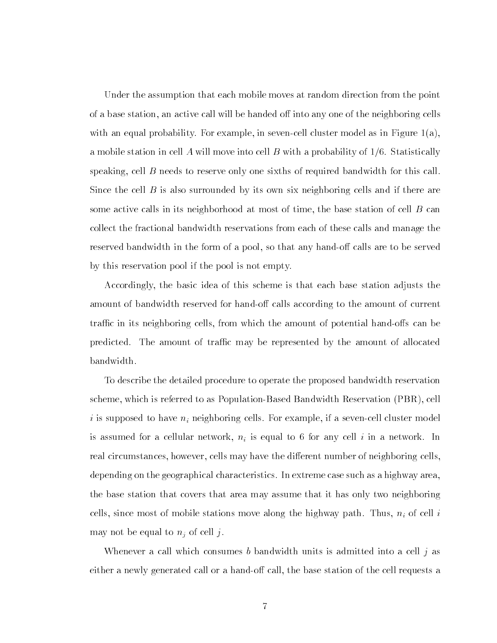Under the assumption that each mobile moves at random direction from the point of a base station- and be had a station- and a continue of the next station- and the neighboring cells. with an equal probability For example- in sevence as in sevence as in the second complete model as in a mobile station in cell A will move into cell B with a probability of  $1/6$ . Statistically speaking-bandwidth for reserve only one sixths of required bandwidth for this called bandwidth for this called bandwidth for this called bandwidth for this called bandwidth for this called bandwidth for this called bandwi Since the cell  $B$  is also surrounded by its own six neighboring cells and if there are some active calls in its neighborhood at  $\mathcal{M}$ collect the fractional bandwidth reservations from each of these calls and manage the reserved bandwidth in the form of a pool-to that any handor any to be so that are to be served by this reservation pool if the pool is not empty

Accordingly- the basic idea of this scheme is that each base station adjusts the amount of bandwidth reserved for hand-off calls according to the amount of current tractive in the amount of the amount of potential handout of potential handout of potential handout of potential  $\alpha$ predicted. The amount of traffic may be represented by the amount of allocated bandwidth

To describe the detailed procedure to operate the proposed bandwidth reservation scheme- which is referred to as PopulationBased Bandwidth Reservation PBR- cell i is supposed to have night for example-than the cells for the sevence of the second complete model that the s is assumed for a cellular network-to for a network-to-called in a network-to-called in any cell in a networkreal circumstances, in the discussion and the discussion of neighboring cellsdepending on the geographical characteristics In extreme case such as a highway areathe base station that covers that area may assume that it has only two neighboring cells-ince most of mobile stations model in the highest path Thusmay not be equal to  $n_i$  of cell j.

Whenever a call which consumes b bandwidth units is admitted into a cell j as either a newly generated called call-base station of the cell requests and  $\mathbf{h}$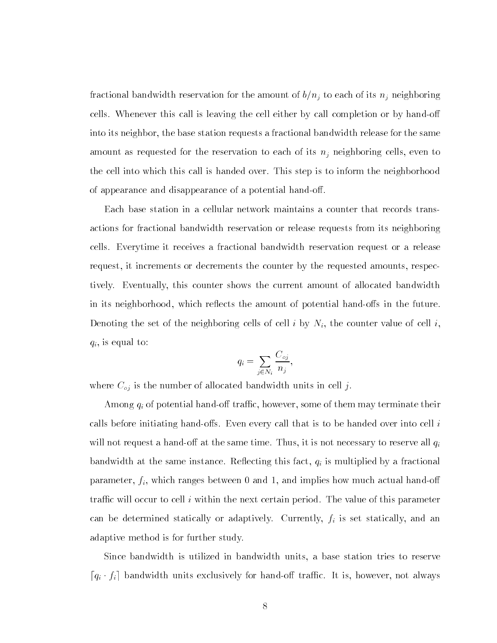fractional bandwidth reservation for the amount of  $b/n_j$  to each of its  $n_j$  neighboring cells. Whenever this call is leaving the cell either by call completion or by hand-off into its neighbor- the base station requests a fractional bandwidth release for the same amount as requested for the reservation to each of its night cells-of-cells-cells-cells-cells-cellsthe cell into which this call is handed over This step is to inform the neighborhood of appearance and disappearance of a potential hand-off.

Each base station in a cellular network maintains a counter that records trans actions for fractional bandwidth reservation or release requests from its neighboring cells Everytime it receives a fractional bandwidth reservation request or a release request, or documents or decrements the requested and requested and requested amountstively Eventually- this counter shows the current amount of allocated bandwidth in its neighborhood- of potential results the amount of potential hand and the future  $\cdots$ Denoting the set of the neighboring cells of cell i by Ni- the counter value of cell i- $\mathbf{f}$  is equal to the contract of the contract of the contract of the contract of the contract of the contract of the contract of the contract of the contract of the contract of the contract of the contract of the cont

$$
q_i = \sum_{j \in N_i} \frac{C_{oj}}{n_j},
$$

where  $C_{oj}$  is the number of allocated bandwidth units in cell j.

 $A$ mong qi of potential handows them may terminate them may terminate them may terminate them may terminate the  $\eta$ calls before initiating hand-offs. Even every call that is to be handed over into cell  $i$ will not request a handour time time time time time  $\mathcal{N}$  is not necessary to reserve all  $\mathcal{N}$ bandwidth at the same instance  $\sim$  is multiplied by a fractional  $\mu$  is multiplied by a fractional  $\sim$ parameter-fi-meter-fi-meter-fi-meter-fi-meter-fi-meter-fi-meter-fi-meter-fi-meter-fi-meter-fi-meter-fi-meter-fi-meter-fi-meter-fi-meter-fi-meter-fi-meter-fi-meter-fi-meter-fi-meter-fi-meter-fi-meter-fi-meter-fi-meter-fi-me traffic will occur to cell  $i$  within the next certain period. The value of this parameter can be determined statically or adaptively Currently-Currently-July or all currently-y-management and adaptive method is for further study

Since bandwidth is utilized in bandwidth units- a base station tries to reserve do the matrix exclusive tractic contracts the traction of the second tractices are in the second tractices of t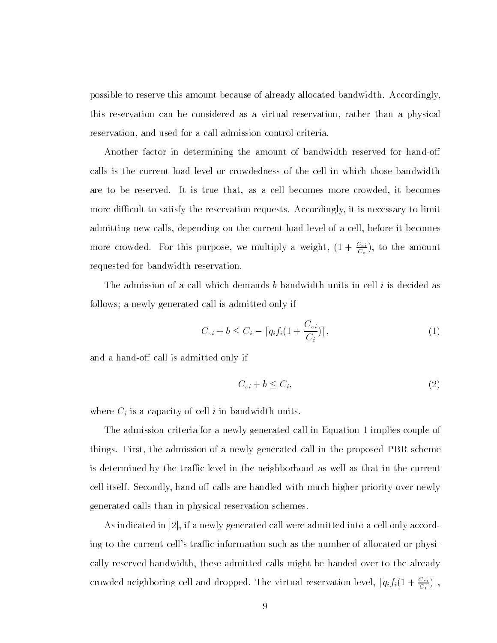possible to reserve this amount because of already allocated bandwidth Accordinglythis reservation can be considered as a virtual reservation- rather than a physical reservation- and used for a call admission control criteria

Another factor in determining the amount of bandwidth reserved for hand-off calls is the current load level or crowdedness of the cell in which those bandwidth are to be reserved it is true that-defining it is true that-defining  $\mathbb{I}$ more dicult to satisfy the reservation requests Accordingly- it is necessary to limit admitting new calls- depending on the current load level of a cell- before it becomes more crowded. For this purpose, we multiply a weight,  $(1+\frac{\omega}{C_i})$ , to the amount requested for bandwidth reservation

The admission of a call which demands b bandwidth units in cell i is decided as follows; a newly generated call is admitted only if

$$
C_{oi} + b \le C_i - \left[ q_i f_i \left( 1 + \frac{C_{oi}}{C_i} \right) \right],\tag{1}
$$

and a hand-off call is admitted only if

$$
C_{oi} + b \le C_i,\tag{2}
$$

where  $C_i$  is a capacity of cell i in bandwidth units.

The admission criteria for a newly generated call in Equation 1 implies couple of things First- this mathematic areas first- generated call in the proposed PBR schemes. is determined by the traffic level in the neighborhood as well as that in the current cell itself Secondly-beneficial itself Secondly-beneficial priority over new left secondly priority over new left secondly-beneficial priority over  $\mathcal{A}$ generated calls than in physical reservation schemes

As indicated in - if a newly generated call were admitted into a cell only accord ing to the current cell's traffic information such as the number of allocated or physically reserved bandwidth- these admitted calls might be handed over to the already crowded neighboring cell and dropped. The virtual reservation level,  $\lceil q_i f_i(1+\frac{\alpha_i}{C_i})\rceil,$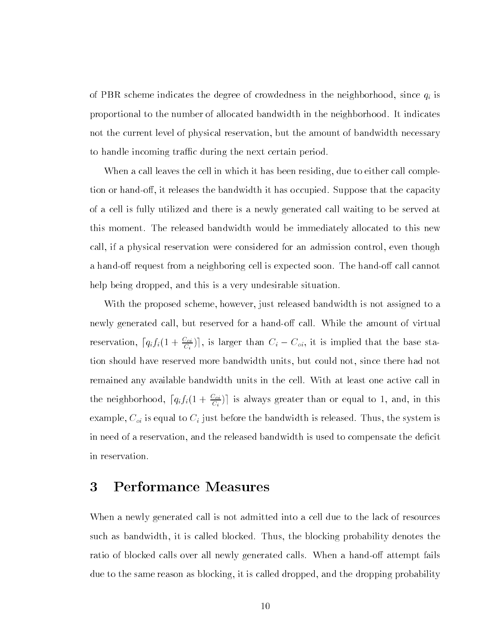of PBR scheme indicates the degree of crowdedness in the neighborhood-distribution in the neighborhood-distribution  $\mathcal{U}$ proportional to the number of allocated bandwidth in the neighborhood It indicates not the current level of physical reservation- but the amount of bandwidth necessary to handle incoming traffic during the next certain period.

When a call leaves the cell in which it has been residing- due to either call comple tion or handover the bandwidth it releases the bandwidth it has occupied Suppose that the capacity of the capacity of a cell is fully utilized and there is a newly generated call waiting to be served at this moment. The released bandwidth would be immediately allocated to this new called the physical reservation were considered for an administration considered for an administration of the  $\alpha$ a hand-off request from a neighboring cell is expected soon. The hand-off call cannot help being dropped- and this is a very undesirable situation

with the proposed scheme- in the local part released to assigned the assigned to assigned to a .....<sub>.</sub> generated call- which are a handor of all while the amount of the amount of virtual  $\sim$ reservation,  $|q_i f_i(1 + \frac{\tau_i}{C_i})|$ , is larger than  $C_i - C_{oi}$ , it is implied that the base station should have reserved more bandwidth units- but could not- since there had not remained any available bandwidth units in the cell. With at least one active call in the neighborhood,  $|q_i f_i(1 + \frac{2q_i}{C_i})|$  is always greater than or equal to 1, and, in this example-1 with the substitution of  $\ell$  just before the bandwidth is released to the bandwidth is released to in need of a reservation- and the released bandwidth is used to compensate the decit in reservation

#### 3 Performance Measures

When a newly generated call is not admitted into a cell due to the lack of resources such as blocked the blocked Thus-th-Blocked Thus-the blocked probability denotes the block ratio of blocked calls over all newly generated calls. When a hand-off attempt fails due to the same reason as blocking-to-the dropped-dropped-dropped-dropped-dropped-dropped-dropped-dropped-dropped-dropped-dropped-dropped-dropped-dropped-dropped-dropped-dropped-dropped-dropped-dropped-dropped-dropped-dro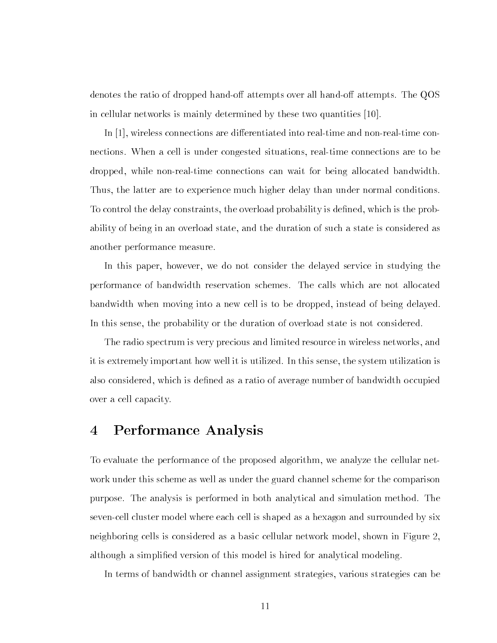denotes the ratio of dropped hand-off attempts over all hand-off attempts. The QOS in cellular networks is mainly determined by these two quantities [10].

... <sub>in i</sub> wireless connections are directions and non-contract into realt into realty connections and nonnections When a cell is under congested situations- realtime connections are to be dropped-bandwidth and wait for being allocated bandwidth for being allocated bandwidth allocated bandwidth and Thus-definition are to experience much higher delay than under normal conditions  $\mathcal{M}$ To control the delay constraints- the overload probability is dened- which is the prob ability of being in an overload state-duration of such a state-duration of such a state is considered as the duration of such as  $\mathcal{A}(\mathbf{A})$ another performance measure

in this paper- we do not consider the delayed service in studying the studying the studying  $\sim$ performance of bandwidth reservation schemes The calls which are not allocated bandwidth when moving into a new cell is to be dropped- instead of being delayed In this sense- the probability or the duration of overload state is not considered

The radio spectrum is very precious and limited resource in wireless networks- and it is extremely important how well it is utilized In this sense- the system utilization is also considered- which is dened as a ratio of average number of bandwidth occupied over a cell capacity

#### Performance Analysis  $\overline{4}$

To evaluate the performance of the proposed algorithm- we analyze the cellular net work under this scheme as well as under the guard channel scheme for the comparison purpose The analysis is performed in both analytical and simulation method The seven-cell cluster model where each cell is shaped as a hexagon and surrounded by six neighboring cells is considered as a basic cellular network model-with model-with modelalthough a simplified version of this model is hired for analytical modeling.

In terms of bandwidth or channel assignment strategies- various strategies can be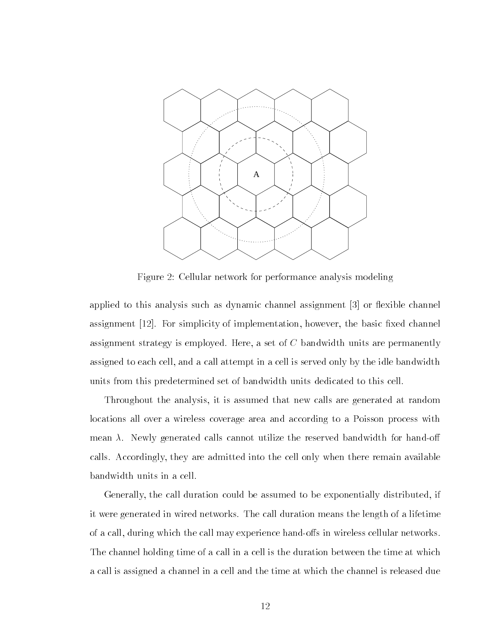

Figure 2: Cellular network for performance analysis modeling

applied to this analysis such as dynamic channel assignment  $[3]$  or flexible channel assignment in the basic simplementation-basic xed channel control the basic xed channel control to the basic xe assignment strategy is employed that is a set of C bandwidth units are permanently assigned to each cell-may and a call attempt in a call attempt in a cell is served on a cell is served on the units from this predetermined set of bandwidth units dedicated to this cell

the analysis- it is assumed that the analysis-  $\alpha$  is assumed that  $\alpha$  are generated at random at  $\alpha$ locations all over a wireless coverage area and according to a Poisson process with  $\mathcal{N}$  . The reserved bandwidth for handow utilize the reserved bandwidth for handow  $\mathcal{N}$ calls Accordingly- they are admitted into the cell only when there remain available bandwidth units in a cell

Generally- the call duration could be assumed to be exponentially distributed- if it were generated in wired networks The call duration means the length of a lifetime of a called which the called many called many components and the call material material material or The channel holding time of a call in a cell is the duration between the time at which a call is assigned a channel in a cell and the time at which the channel is released due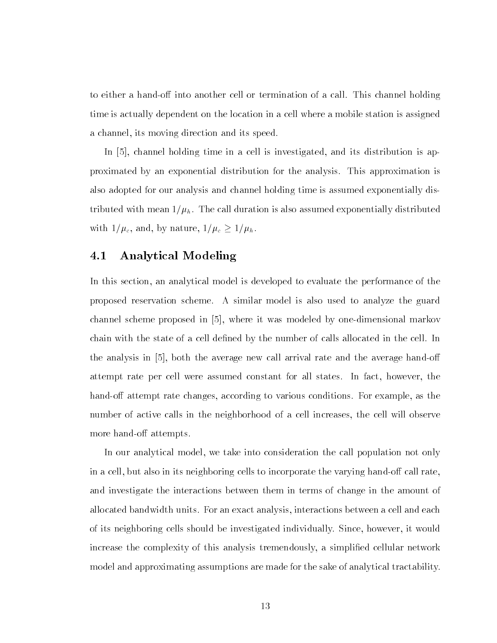to either a hand-off into another cell or termination of a call. This channel holding time is actually dependent on the location in a cell where a mobile station is assigned a channels and its moving direction and its speed possible.

in it constants time in a cell in a cell is interesting in and its investigated and its distribution in the co proximated by an exponential distribution for the analysis This approximation is also adopted for our analysis and channel holding time is assumed exponentially dis tributed with mean  $1/\mu_h$ . The call duration is also assumed exponentially distributed with c - and - and-by nature-by - and -  $\mathbf{r}$  -  $\mathbf{r}$  ,  $\mathbf{r}$  -  $\mathbf{r}$  ,  $\mathbf{r}$  ,  $\mathbf{r}$ 

#### $4.1\,$ Analytical Modeling

In this section- an analytical model is developed to evaluate the performance of the proposed reservation scheme A similar model is also used to analyze the guard channel scheme proposed in - where it was modeled by onedimensional markov chain with the state of a cell defined by the number of calls allocated in the cell. In the analysis in - both the average new call arrival rate and the average hando attempt rate per cell were assumed constant for all states In factor in factor  $\cdots$  and  $\cdots$ hando at the changes-there changes, we consider the changes of a conditions  $\mathcal{L}$  as the conditions  $\mathcal{L}$ number of active calls in the neighborhood of a cell increases- the cell will observe more hand-off attempts.

In our analytical model- we take into consideration the call population not only in a cell-but also in its neighboring cells to incorporate the varying handout  $\mathbf{r}$ and investigate the interactions between them in terms of change in the amount of allocated bandwidth units For an exact analysis-  $\mathbb{I}_\mathbb{R}$  and each analysis-  $\mathbb{I}_\mathbb{R}$ of its neighboring cells showever- it would be individually Since- it would be individually Since- it would increase the complexity of this analysis tremendously- a simplied cellular network model and approximating assumptions are made for the sake of analytical tractability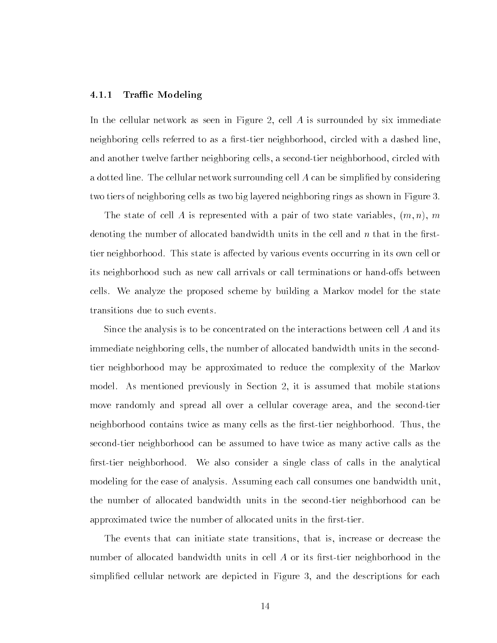#### -----Traffic Modeling

In the cellular network as seen in Figure -  $\mathcal{M}$  is surrounded by six immediate  $\mathcal{M}$ neighboring cells referred to as a rsttier neighborhood- circled with a dashed lineand another twelve farther neighboring cells- a secondtier neighborhood- circled with a dotted line. The cellular network surrounding cell  $A$  can be simplified by considering two tiers of neighboring cells as two big layered neighboring rings as shown in Figure 3.

m state of the state of the production with a pair of two states with a contract of the state variables of the denoting the number of allocated bandwidth units in the cell and  $n$  that in the firsttier neighborhood. This state is affected by various events occurring in its own cell or its neighborhood such as new call arrivals or call terminations or hand-offs between cells We analyze the proposed scheme by building a Markov model for the state transitions due to such events

Since the analysis is to be concentrated on the interactions between cell A and its immediate neighboring cells- the number of allocated bandwidth units in the second tier neighborhood may be approximated to reduce the complexity of the Markov model As models in Section - it is assumed to the models in the mobile station - it is assumed to the mobile s move randomly and spread all over a cellular coverage area- and the secondtier neighborhood contains twice as many cells as the rsttier neighborhood Thus- the second-tier neighborhood can be assumed to have twice as many active calls as the first-tier neighborhood. We also consider a single class of calls in the analytical modeling for the ease of analysis. Assuming each call consumes one bandwidth unit, the number of allocated bandwidth units in the second-tier neighborhood can be approximated twice the number of allocated units in the first-tier.

The events that can initiate state transitions- that is- increase or decrease the number of allocated bandwidth units in cell  $A$  or its first-tier neighborhood in the simplied cellular are described in Figure 1. The depicted in Figure 1. The description for the collection of the description of the description of the description of the description of the description of the description of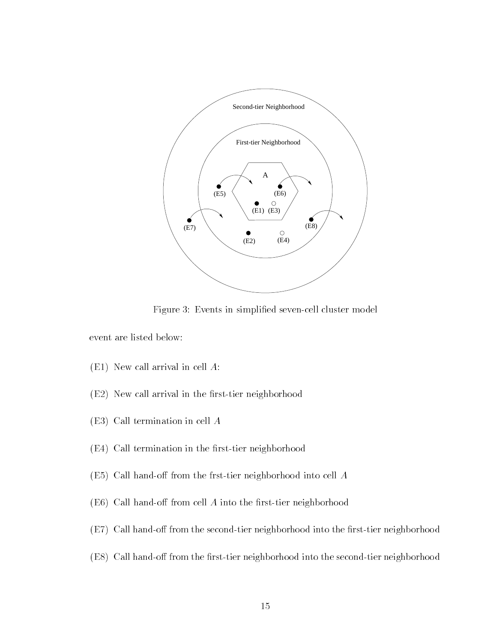

Figure 3: Events in simplified seven-cell cluster model

event are listed below

- $\mathcal{L}$  . The call arrival in cell arrival in cell  $\mathcal{L}$
- $\mathcal{L}$  arrival in the rstationarrival in the rstationarrival in the rstationarrival in the rstationarrival in the rstationarrival in the rstationarrival in the rstationarrival in the rstationarrival in the rstationarriv
- $\Gamma$  Call termination in cell All termination in cell All termination in cell All termination in cell All termination in cell All termination in  $\Gamma$
- $E = E$  termination in the rstation in the rstation in the rst termination in the rst termination in the rst termination in the rst termination in the rst termination in the rst termination in the rst termination in the rst
- E Call hando from the frsttier neighborhood into cell A
- E Call hando from cell A into the rsttier neighborhood
- $\mathcal{L} = \mathcal{L}$  , and the second into the second into the rest from the rest into the rest  $\mathcal{L}$
- $\mathcal{L} = \mathcal{L}$  , the model is the restaurance into the second into the second into  $\mathcal{L}$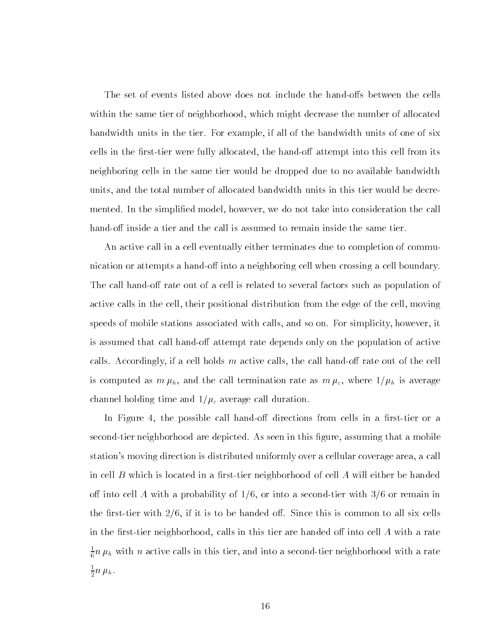The set of events listed above does not include the hand-offs between the cells with the same time time of neighborhoods and time number of all might decrease the number of all  $\alpha$ bandwidth units in the tier For example-, if all of the bandwidth units of the bandwidth units of the bandwidt cells in the first were fully allocated-the fully allocated-the fully allocated the statements of the complete neighboring cells in the same tier would be dropped due to no available bandwidth units-total number of allocated bandwidth units in this tier would be decreed bandwidth units in this tier would mented In the simplied model- however- we do not take into consideration the call hand-off inside a tier and the call is assumed to remain inside the same tier.

An active call in a cell eventually either terminates due to completion of commu nication or attempts a hand-off into a neighboring cell when crossing a cell boundary. The call hand-off rate out of a cell is related to several factors such as population of active calls in the cell-their positions and the edge of the cell-the cell-the cell-the cellrp code as decrease reduced with calls-correct calls-computer and so on For South process, the cost of the co is assumed that call hand-off attempt rate depends only on the population of active  $\mathcal{N}$  and  $\mathcal{N}$ is computed as m h-m h-m h-m h-m call termination rate as m c  $\Gamma$  is average  $\Gamma$  is average  $\Gamma$  is average  $\Gamma$ channel holding time and  $1/\mu_c$  average call duration.

In Figure - the possible call hando directions from cells in a rsttier or a second tier are  $\lambda$  second as seen in the depicted are depicted and this group that all the mobile are a mobile stations moving direction is distributed uniformly over a cellular coverage area- a call in cell B which is located in a first-tier neighborhood of cell A will either be handed of into a probability of  $\mathcal{N}$  and  $\mathcal{N}$  are main into a second term in the second  $\mathcal{N}$ the rstatistical common to be handed of its is to be handed out in this is common to all six cells of all six c in the rstatistical into calls in this tier are handed of  $\mathcal{M}$  with a rate  $\mathcal{M}$  $\frac{1}{6}n$   $\mu_h$  with  $n$  active calls in this tier, and into a second-tier neighborhood with a rate  $\frac{1}{2}n \mu$ <sub>h</sub>.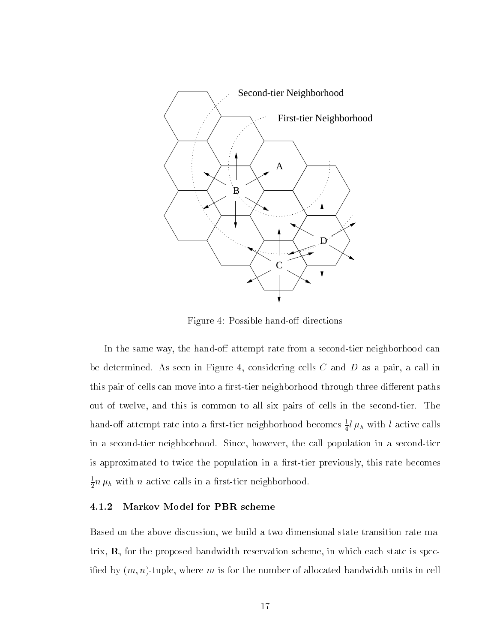

Figure 4: Possible hand-off directions

In the same way- the hando attempt rate from a secondtier neighborhood can  $\alpha$  seen in Figure -  $\alpha$  and D as a pair--between in Figure -  $\alpha$ this pair of cells can move into a first-tier neighborhood through three different paths out of twelve- and this is common to all six pairs of cells in the secondtier The hand-off attempt rate into a first-tier neighborhood becomes  $\frac{1}{4}l$   $\mu_h$  with  $l$  active calls in a secondtier neighborhood Since- however- the call population in a secondtier is approximated to twice the population in a rsttier previously- this rate becomes - - - $2 \cdot r$  is not active calls in a respective calls in a respectively.

#### -----Markov Model for PBR scheme

Based on the above discussion- we build a twodimensional state transition rate ma trix, we, the proposed bandwidth reservation states and the minimal control states of the spec ied by m ntuple- where m is for the number of allocated bandwidth units in cell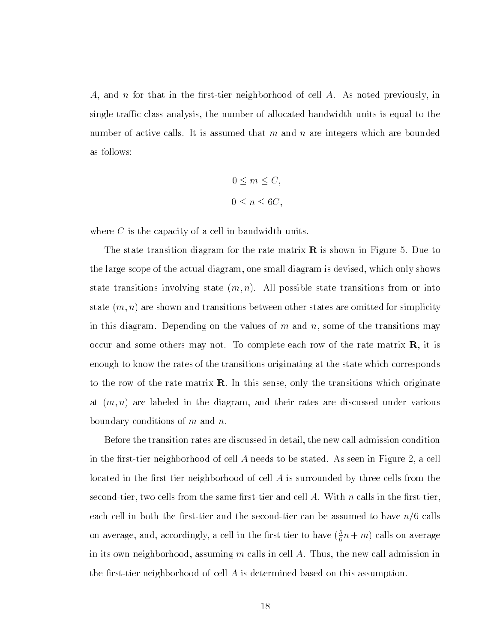A- and n for that in the rsttier neighborhood of cell A As noted previously- in single track class and the number of all categories is equal to the number of all the second to the second to number of active calls. It is assumed that m and n are integers which are bounded as follows

$$
0 \le m \le C,
$$
  

$$
0 \le n \le 6C,
$$

where  $C$  is the capacity of a cell in bandwidth units.

The state transition diagram for the rate matrix  $\bf{R}$  is shown in Figure 5. Due to the large scope of the actual diagram- one small diagram is devised- which only shows state transitions involving state (iii); transitions states transitions from or into state m n are shown and transitions between other states are omitted for simplicity in this diagram Depending on the values of m and n- some of the transitions may occur and some others may not. To complete each row of the rate matrix R-, it is enough to know the rates of the transitions originating at the state which corresponds to the row of the fact matrix Ref in this sense- the this second in high of the sense of  $\sim$ at m n are labeled in the diagram- and their rates are discussed under various boundary conditions of  $m$  and  $n$ .

Before the transition rates are discussed in detail- the new call admission condition in the rsttier neighborhood of cell A needs to be stated As seen in Figure - a cell located in the first-tier neighborhood of cell  $\vec{A}$  is surrounded by three cells from the secondtier- two cells from the same rsttier and cell A With n calls in the rsttiereach cell in both the first-tier and the second-tier can be assumed to have  $n/6$  calls on average, and, accordingly, a cell in the first-tier to have  $(\frac{1}{6}n+m)$  calls on average in its own mongon-tracting m calls in cell and control and calls in cell and control admission in the new call the first-tier neighborhood of cell  $A$  is determined based on this assumption.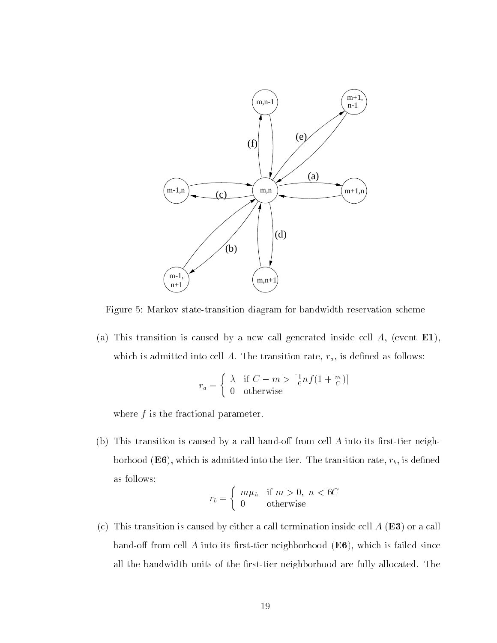

Figure 5: Markov state-transition diagram for bandwidth reservation scheme

a This transition is caused by a new carrier inside the more cell in the cell  $\sim$ which is admitted into cell A The transition rate-the the transition rate  $\alpha$  as follows the three control

$$
r_a = \begin{cases} \lambda & \text{if } C - m > \left\lceil \frac{1}{6} n f(1 + \frac{m}{C}) \right\rceil \\ 0 & \text{otherwise} \end{cases}
$$

where  $f$  is the fractional parameter.

 b This transition is caused by a call hando from cell A into its rsttier neigh  $\sim$  0.1110  $\alpha$  ( $\sim$   $\sim$   $\sim$   $\sim$ ), which is definited into the time transition rate  $\sim$ as follows

$$
r_b = \begin{cases} m\mu_h & \text{if } m > 0, \ n < 6C \\ 0 & \text{otherwise} \end{cases}
$$

 $\{c_i\}$  . This transition is caused by either a call termination inside cell in  $\{m_i\}$  or a call  $\{c_i\}$ hand on highly cell it have the most neighborhood (its content to failed since  $\sim$ all the bandwidth units of the first-tier neighborhood are fully allocated. The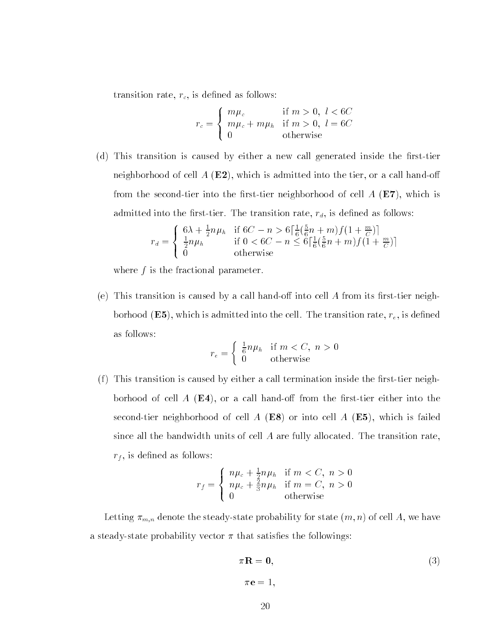transition rate-transition rate-transition rate-transition rate-transition rate-transition rate-transition rate-

$$
r_c = \begin{cases} m\mu_c & \text{if } m > 0, l < 6C \\ m\mu_c + m\mu_h & \text{if } m > 0, l = 6C \\ 0 & \text{otherwise} \end{cases}
$$

 $\mathcal{N}$  d This transition is caused by either a new call generated inside the rst transition inside the rst transition inside the rst transition inside the rst transition in  $\mathcal{N}$ neighborhood of centri- (2007), which is admitted into the tier, of a call hand on from the second ticl mito the mest ticle monghly critical of cell A (A ) which is the second a second a second admitted into the rate the transition rates-the the transition  $\mu$  is denoted as follows that  $\mu$ 

$$
r_d = \begin{cases} 6\lambda + \frac{1}{2}n\mu_h & \text{if } 6C - n > 6\left[\frac{1}{6}\left(\frac{5}{6}n + m\right)f\left(1 + \frac{m}{C}\right)\right] \\ \frac{1}{2}n\mu_h & \text{if } 0 < 6C - n \le 6\left[\frac{1}{6}\left(\frac{5}{6}n + m\right)f\left(1 + \frac{m}{C}\right)\right] \\ 0 & \text{otherwise} \end{cases}
$$

where  $f$  is the fractional parameter.

e This transition is caused by a from its ransition into the case of the call that it results recognition  $\sigma$  ,  $\Delta$  , which is admitted into the cent. The transition rate,  $\epsilon$ , is defined as follows

$$
r_e = \begin{cases} \frac{1}{6}n\mu_h & \text{if } m < C, \ n > 0\\ 0 & \text{otherwise} \end{cases}
$$

f This transition is called by either a call termination inside the rst termination inside the rst termination in boritood of cell it (est), of w cwit invite oil ifoill vite into viel civilet into vite second die heighborhood of cell it (mo) of hills cell it (mo)) which is failed since all the bandwidth units of cell  $A$  are fully allocated. The transition rate, rf - is denoted as follows: the following as follows: the following as follows: the following as follows:

$$
r_f = \begin{cases} n\mu_c + \frac{1}{2}n\mu_h & \text{if } m < C, n > 0\\ n\mu_c + \frac{2}{3}n\mu_h & \text{if } m = C, n > 0\\ 0 & \text{otherwise} \end{cases}
$$

Letting mn denote the steadystate probability for state m n of cell A- we have a steady-state probability vector  $\pi$  that satisfies the followings:

$$
\pi \mathbf{R} = \mathbf{0},\tag{3}
$$
\n
$$
\pi \mathbf{e} = 1,
$$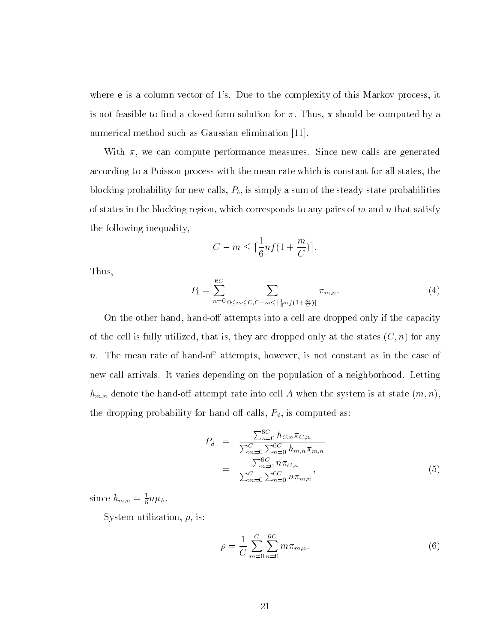where  $\bullet$  is a column vector of i s if  $\bullet$  as to the complement of this massive, process, it is not feasible to nd a closed form solution for Thus- should be computed by a numerical method such as Gaussian elimination [11].

with a computer performance measures in the computer of  $\pi$  are generated in  $\pi$ according to a Poisson process with the mean rate which is constant for all states- the blocking probability for new calls- Pb- is simply a sum of the steadystate probabilities of states in the blocking region-blocking region-blocking region-blocking regionthe following inequality-

$$
C - m \leq \lceil \frac{1}{6} n f \left( 1 + \frac{m}{C} \right) \rceil.
$$

Thus-

$$
P_b = \sum_{n=0}^{6C} \sum_{0 \le m \le C, C-m \le \lceil \frac{1}{6} n f (1 + \frac{m}{C}) \rceil} \pi_{m,n}.
$$
 (4)

On the other hand-done into a cell and the contract into a cell are dropped only if the capacity of the capacity of the cell is-they are dropped only at the states  $\mathbf{r}$  that is fully at the states  $\mathbf{r}$ n The mean rate of handout attention at the mean rate of handout as in the case of handout as in the case of h new call arrivals. It varies depending on the population of a neighborhood. Letting hmn denote the handout rate into cell A when the system is at state into cell A when the system is at state  $\Lambda$  when the system is at state in the dropping probability for handout calls-calls-calls-calls-calls-calls-calls-calls-calls-calls-calls-calls-c

$$
P_d = \frac{\sum_{n=0}^{6C} h_{C,n} \pi_{C,n}}{\sum_{m=0}^{C} \sum_{n=0}^{6C} h_{m,n} \pi_{m,n}}
$$
  
= 
$$
\frac{\sum_{n=0}^{6C} n \pi_{C,n}}{\sum_{m=0}^{C} \sum_{n=0}^{6C} n \pi_{m,n}},
$$
 (5)

since  $h_{m,n} = \frac{1}{6}n\mu_h$ .

System utilization- - is

$$
\rho = \frac{1}{C} \sum_{m=0}^{C} \sum_{n=0}^{6C} m \pi_{m,n}.
$$
\n(6)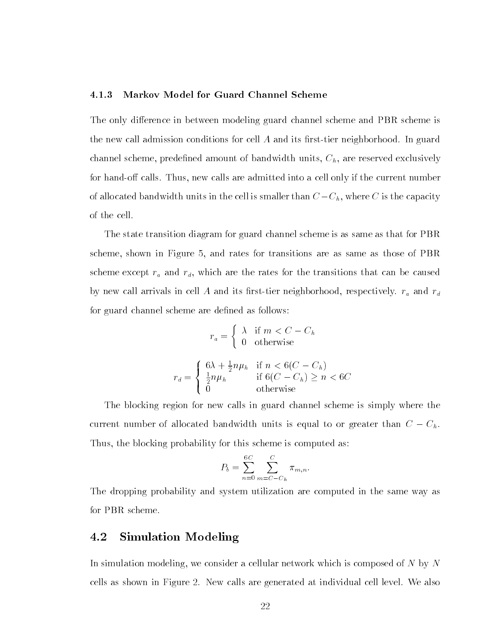#### -Markov Model for Guard Channel Scheme

The only difference in between modeling guard channel scheme and PBR scheme is the new call admission conditions for cell  $A$  and its first-tier neighborhood. In guard  $p = m$ ... mando cal calls the calls are a cell only if the current into a cell on the current number of of allocated bandwidth units in the cell is smaller than  $C-\subset\{0\}$  is smaller than  $C-\subset\{0\}$ of the cell

The state transition diagram for guard channel scheme is as same as that for PBR scheme- shown in Figure - and rates for transitions are as same as those of PBR scheme except radius for the rates for the rates for the rates for the rates for the transitions that can be caused by can be caused by can be caused by can be caused by can be caused by can be caused by can be caused by by new call arrivals in cell A and its rsttier neighborhood- respectively ra and rd for guard channel scheme are defined as follows:

$$
r_a = \begin{cases} \lambda & \text{if } m < C - C_h \\ 0 & \text{otherwise} \end{cases}
$$

$$
r_d = \begin{cases} 6\lambda + \frac{1}{2}n\mu_h & \text{if } n < 6(C - C_h) \\ \frac{1}{2}n\mu_h & \text{if } 6(C - C_h) \ge n < 6C \\ 0 & \text{otherwise} \end{cases}
$$

The blocking region for new calls in guard channel scheme is simply where the current number of allocated bandwidth units in the second to or greater than C - Chi Thus- the blocking probability for this scheme is computed as

$$
P_b = \sum_{n=0}^{6C} \sum_{m=C-C_h}^{C} \pi_{m,n}.
$$

The dropping probability and system utilization are computed in the same way as for PBR scheme

#### 4.2 Simulation Modeling

In simulation modeling-a cellular network which is composed of  $N$ cells as shown in Figure 2. New calls are generated at individual cell level. We also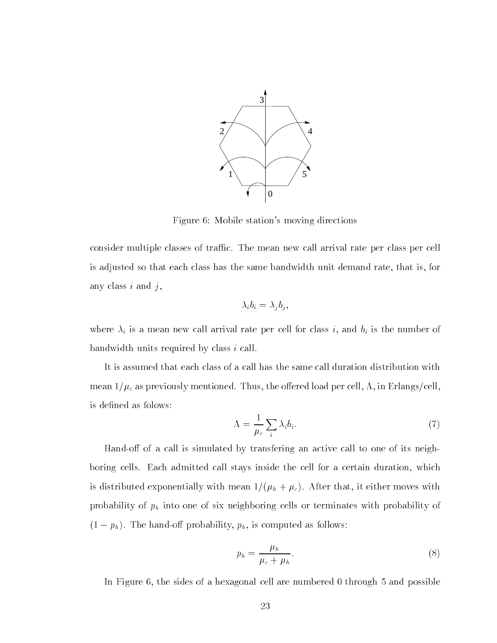

Figure 6: Mobile station's moving directions

consider multiple classes of traffic. The mean new call arrival rate per class per cell is adjusted so that each class has the same bandwidth unit demand rate- that is- for any class  $i$  and  $j$ ,

$$
\lambda_i b_i = \lambda_j b_j,
$$

where  $\mathbf{v}$  is a mean new call arrival rate per cell for class i-definition  $\mathbf{v}$ bandwidth units required by class  $i$  call.

It is assumed that each class of a call has the same call duration distribution with mean c'hollangs ar an the ousland the original per cell-and cell-and per cell-and cell-and cell-and cellis defined as folows:

$$
\Lambda = \frac{1}{\mu_c} \sum_i \lambda_i b_i. \tag{7}
$$

Hand-off of a call is simulated by transfering an active call to one of its neighboring cells Each admitted call stays inside the cell for a certain duration- which is distributed exponentially with  $\mathbf{r}$  and  $\mathbf{r}$  and  $\mathbf{r}$  and  $\mathbf{r}$ probability of  $p_h$  into one of six neighboring cells or terminates with probability of  $\mathcal{S} = \{ \mathbf{r} | \mathbf{r} \}$  , which is computed as follows probability  $\mathbf{r}$  ,  $\mathbf{r} | \mathbf{r}$  ,  $\mathbf{r} | \mathbf{r}$  , as follows as follows .

$$
p_h = \frac{\mu_h}{\mu_c + \mu_h}.\tag{8}
$$

In Figure - the sides of a hexagonal cell are numbered through and possible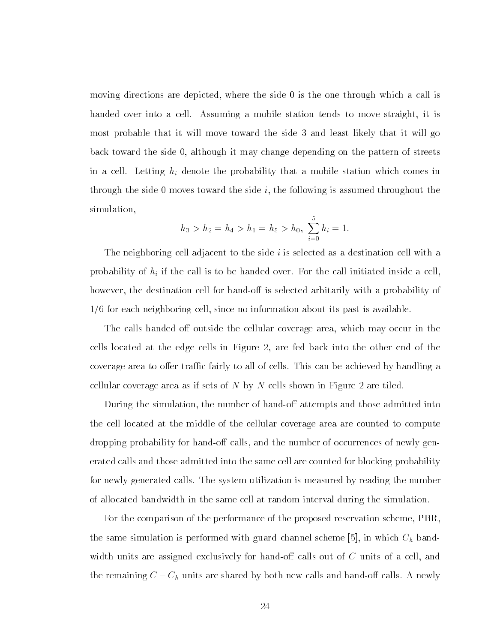moving directions are depicted-where the side  $\mathbf{u}$ handed over into a cell Assuming a mobile station tends to move straight- it is most probable that it will move toward the side 3 and least likely that it will go back to side the side - although it may change depending the streets pattern of streets. in a cell. Letting  $h_i$  denote the probability that a mobile station which comes in through the side i-dimensional the side i-dimensional the side i-dimensional throughout the following i-dimensional throughout the following i-dimensional throughout the following i-dimensional throughout throughout the f simulation,

$$
h_3 > h_2 = h_4 > h_1 = h_5 > h_0, \sum_{i=0}^{5} h_i = 1.
$$

The neighboring cell adjacent to the side  $i$  is selected as a destination cell with a probability of  $h_i$  if the call is to be handed over. For the call initiated inside a cell, however-destination cell for handow the destination cell for handow is selected arbitrarily with a probability of for each neighboring cell- since no information about its past is available

the calls handed out calls have continued and coverage areas, which may occur in the co cells in the cells in Fig. cells in Figure - ( ) are fed back into the other end of the  $\sim$ coverage area to offer traffic fairly to all of cells. This can be achieved by handling a cellular coverage area as if sets of N by N cells shown in Figure 2 are tiled.

During the simulation- the number of hando attempts and those admitted into the cell located at the middle of the cellular coverage area are counted to compute dropping probability for hando calls- and the number of occurrences of newly gen erated calls and those admitted into the same cell are counted for blocking probability for newly generated calls The system utilization is measured by reading the number of allocated bandwidth in the same cell at random interval during the simulation

For the comparison of the performance of the proposed reservation scheme- PBRthe same simulation is performed with guard channel scheme - in which Ch band with units are assigned exclusively for  $\mathbf{r}$  and  $\mathbf{r}$  calls out of a cell-calls of a cell-calls of a cell-calls of a cell-calls of a cell-calls of a cell-calls of a cell-calls of a cell-calls of a cell-calls of a the remaining  $C = \{v_i\}$  are shown are shared by a new calls and handour calls and handour  $\Gamma$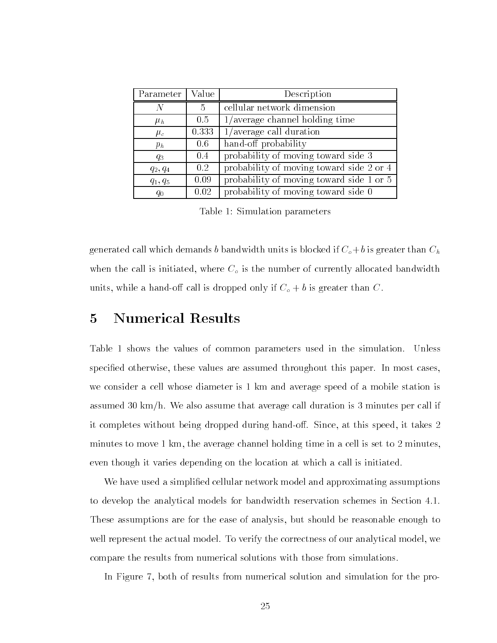| Parameter   Value |       | Description                              |
|-------------------|-------|------------------------------------------|
| N                 | 5     | cellular network dimension               |
| $\mu_h$           | 0.5   | $1/average$ channel holding time         |
| $\mu_c$           | 0.333 | $1/average$ call duration                |
| $p_h$             | 0.6   | hand-off probability                     |
| $q_3$             | 0.4   | probability of moving toward side 3      |
| $q_2, q_4$        | 0.2   | probability of moving toward side 2 or 4 |
| $q_1, q_5$        | 0.09  | probability of moving toward side 1 or 5 |
| $q_0$             | 0.02  | probability of moving toward side 0      |

Table 1: Simulation parameters

generated call which demands b bandwidth units is blocked if  $C_o + b$  is greater than  $C_h$ where the call is initiated-up the call  $\varphi$  of the number of currently allocated bandwidth  $\varphi$ while a handom call is defined on  $\mathcal{U} = \mathcal{U}$  if  $\mathcal{U} = \{1, \ldots, n\}$ 

### Numerical Results

Table 1 shows the values of common parameters used in the simulation. Unless specied otherwise- these values are assumed throughout this paper In most caseswe consider a cell whose diameter is 1 km and average speed of a mobile station is assumed 30 km/h. We also assume that average call duration is 3 minutes per call if it completes without being dropped during hando Since- at this speed- it takes minutes to minute a minutes-decomposition in a cell is set to average channel in a cell is set to minuteseven though it varies depending on the location at which a call is initiated

We have used a simplified cellular network model and approximating assumptions to develop the analytical models for bandwidth reservation schemes in Section These assumptions are for the ease of analysis- but should be reasonable enough to well represent the actual model model To verify the correction of our analytical model model modelcompare the results from numerical solutions with those from simulations

In Figure - both of results from numerical solution and simulation for the pro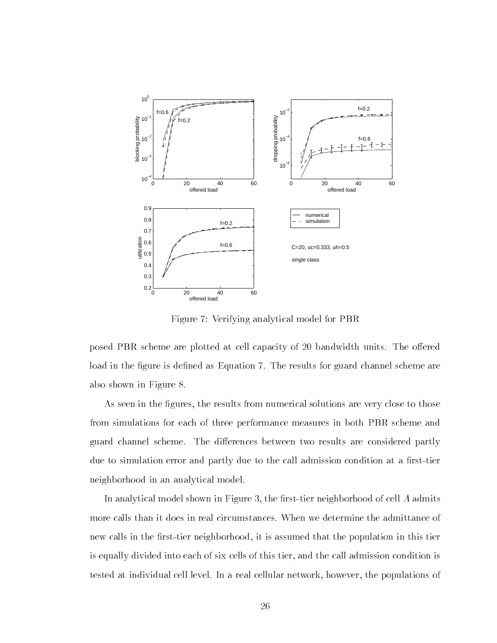

Figure 7: Verifying analytical model for PBR

posed PBR scheme are plotted at cell capacity of 20 bandwidth units. The offered load in the figure is defined as Equation 7. The results for guard channel scheme are also shown in Figure

 $\Lambda$ s seen in the results from numerical solutions are very close to those to those to those to those to those to those to those to those to those to those to those to those to those to those to those to those to those to from simulations for each of three performance measures in both PBR scheme and guard channel scheme. The differences between two results are considered partly due to simulation error and partly due to the call admission condition at a first-tier neighborhood in an analytical model

In analytical model shown in Figure , we have the rest of cell A  $\alpha$ more calls than it does in real circumstances When we determine the admittance of new calls in the root of the population in the population in the population in the population in the population is equally divided into each of six cells of this tier- and the call admission condition is tested at individual cell level In a real cellular network- however- the populations of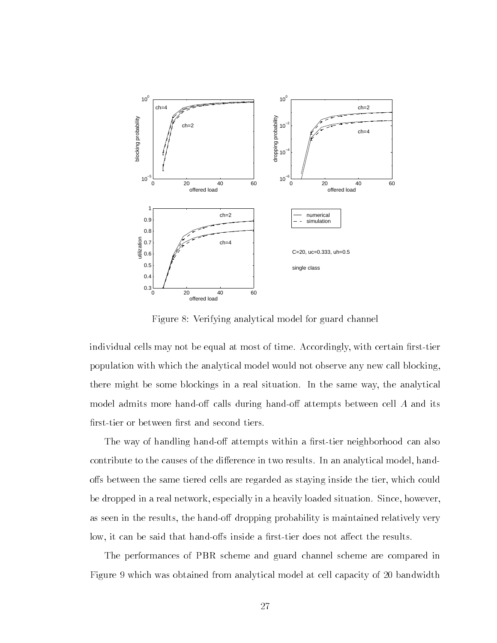

Figure Verifying analytical model for guard channel

individual cells may not be equal at most of time Accordingly-, with certain results  $\cdots$ population with which the analytical model would not observe any new call blockingthere might be some blockings in a real situation In the same way-the same way the same way the same model admits more hand-off calls during hand-off attempts between cell  $A$  and its first-tier or between first and second tiers.

The way of handling hand-off attempts within a first-tier neighborhood can also contribute to the distribution of the distribution of the distribution in two results In an analytical modelo s between the same tiered cells are regarded as staying inside the tier- which could be dropped in a real network- especially in a heavily loaded situation Since- howeveras seen in the factor of the model probability is maintained relatively in the context of the context of the c low- it can be said that hando s inside a rsttier does not a ect the results

The performances of PBR scheme and guard channel scheme are compared in Figure 9 which was obtained from analytical model at cell capacity of 20 bandwidth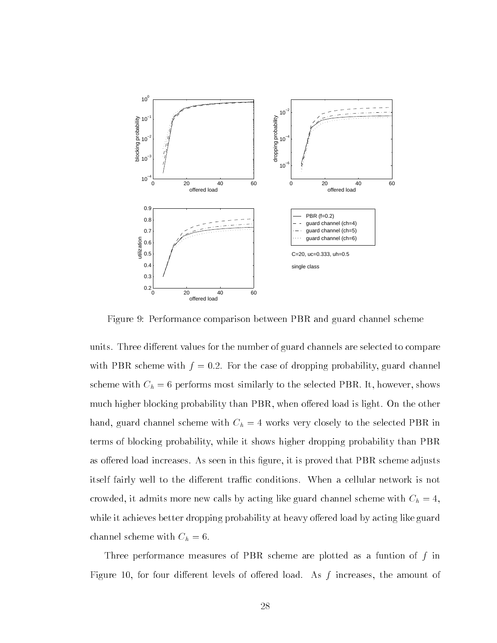

Figure 9: Performance comparison between PBR and guard channel scheme

units. Three different values for the number of guard channels are selected to compare with PBR scheme with f  $\mathcal{F}$  the case of dropping probability-f  $\mathcal{F}$ scheme with  $C_{h}$  , with selected provides similarly to the selection PBR It-1 move selected PBR Itmuch higher blocking probability than PBR- when o ered load is light On the other hand- guard channel scheme with Ch works very closely to the selected PBR in terms of blocking probability- while it shows higher dropping probability than PBR as of the load increases As seen in this group  $\mathbb{P}$  is proved that  $\mathbb{P}$ itself fairly well to the different traffic conditions. When a cellular network is not crowded-crowded-channel scheme calls by acting like guard channel scheme with  $\sim$  1.1  $\sim$  1.1  $\sim$  1.1  $\sim$  1.1  $\sim$  1.1  $\sim$  1.1  $\sim$  1.1  $\sim$  1.1  $\sim$  1.1  $\sim$  1.1  $\sim$  1.1  $\sim$  1.1  $\sim$  1.1  $\sim$  1.1  $\sim$  1.1  $\sim$  1.1 while it achieves better dropping probability at heavy offered load by acting like guard channel scheme with  $C_h = 6$ .

Three performance measures of PBR scheme are plotted as a funtion of f in Figure - for four di erent levels of o ered load As f increases- the amount of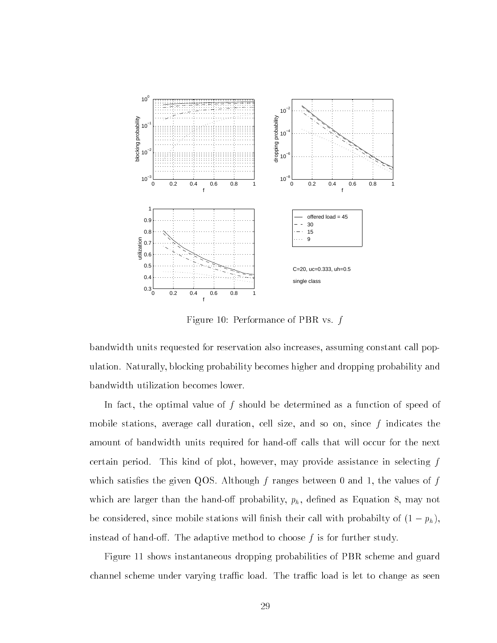

Figure 10: Performance of PBR vs.  $f$ 

bandwidth units requested for reservation also increases- assuming constant call pop ulation Naturally- blocking probability becomes higher and dropping probability and bandwidth utilization becomes lower

In fact- the optimal value of f should be determined as a function of speed of mobile stations- average call duration- cell size- and so on- since f indicates the amount of bandwidth units required for hand-off calls that will occur for the next certain period This may provide as provided the provide assistance in selection  $\bm{\lambda}$  , and which satisfact the given  $q_1$  and ranges  $q_2$  ranges between  $\alpha$  and  $\alpha$  for factors of  $f$ which are larger than the handout probability-density-density-density-density-density-density-density-density-density-density-density-density-density-density-density-density-density-density-density-density-density-density  $\alpha$  considered and the considered with the mobile stations with probability of  $\{\pi-\mu\}$ instead of hand-off. The adaptive method to choose  $f$  is for further study.

Figure 11 shows instantaneous dropping probabilities of PBR scheme and guard channel scheme under varying traffic load. The traffic load is let to change as seen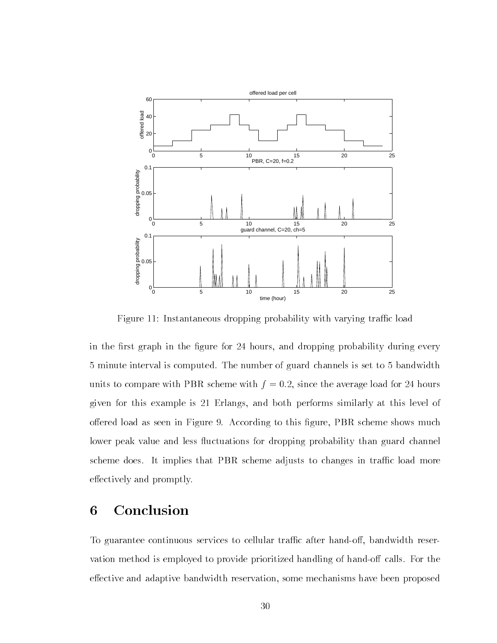

Figure 11: Instantaneous dropping probability with varying traffic load

in the most graph in the gure for he was dropping probability during every 5 minute interval is computed. The number of guard channels is set to 5 bandwidth units to compare with  $\mathcal{A}$  -matrix  $\mathcal{A}$  -matrix  $\mathcal{A}$  -matrix  $\mathcal{A}$  -matrix  $\mathcal{A}$ given for the commutation of the both performance of the similar similar similar similar at the similar simila of load as seen in Figure . The seen in Figure as seen in Figure as seen in Figurelower peak value and less fluctuations for dropping probability than guard channel scheme does. It implies that PBR scheme adjusts to changes in traffic load more effectively and promptly.

## Conclusion

To guarantee continuous services to cellular trac after handows to cellular trac after handows  $\mathcal{F}(\mathbf{A})$ vation method is employed to provide prioritized handling of hand-off calls. For the externe method adaptive and adaptive bandwidth reservation-time-some mechanisms have been proposed been propos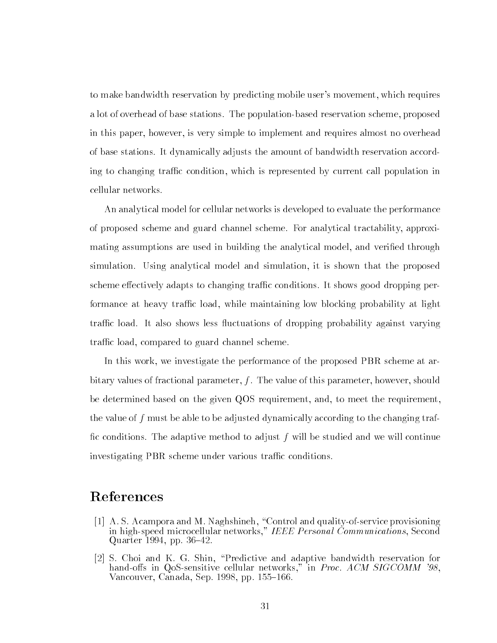to make bandwidth reservation by predicting mobile users movement- which requires a lot of overhead of base stations The populations The population scheme and the population schemein this paper- is very simple to implement and requires and requires almost no over almost and requirement of base stations It dynamically adjusts the amount of bandwidth reservation accord ing to changing trac condition- which is represented by current call population in cellular networks

An analytical model for cellular networks is developed to evaluate the performance of proposed scheme and guard channel scheme For analytical tractability- approxi mating assumptions are used in building the analytical model- and veried through simulation Using analytical model and simulation- it is shown that the proposed scheme effectively adapts to changing traffic conditions. It shows good dropping performance at heavy trac load- while maintaining low blocking probability at light traffic load. It also shows less fluctuations of dropping probability against varying trac load- compared to guard channel scheme

In this work- we investigate the performance of the proposed PBR scheme at ar bitary values of fractional parameter- f The value of this parameter- however- should be determined based on the given QOS requirement- and- to meet the requirementthe value of f must be able to be adjusted dynamically according to the changing traffic conditions. The adaptive method to adjust  $f$  will be studied and we will continue investigating PBR scheme under various traffic conditions.

### References

- A S Acampora and M Naghshineh- Control and qualityofservice provisioning in highspeed microcellular networks- IEEE Personal Communications- Second Quarter - pp
- S Choi and K G Shin- Predictive and adaptive bandwidth reservation for hando s in QoSsensitive cellular networks- in Proc ACM SIGCOMM --Vancouver- Canada- Sep - pp